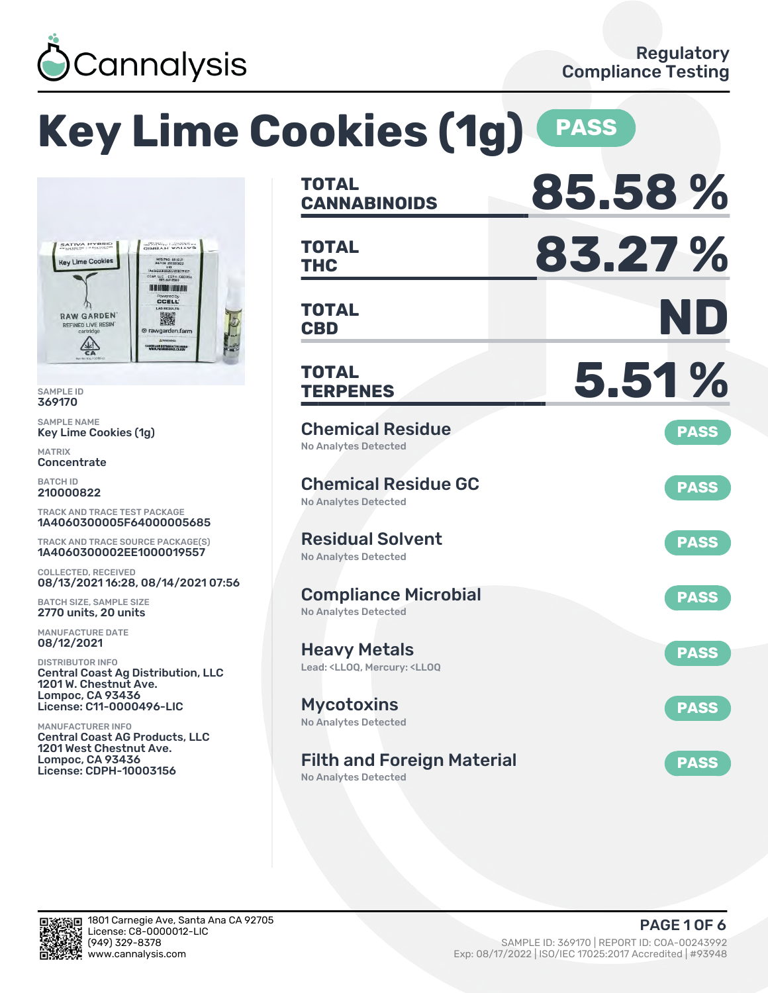

### **Key Lime Cookies (1g) PASS CANNABINOIDS 85.58 % TOTAL THC 83.27 % TANA TOTAL** MEG/PKG 0812.21 LLC - COPH-100 **HENRICHMAN CCELL CBD ND TOTAL** 濑 wgarden.farm ANCER AND REPRODUCTIVE HA **TERPENES 5.51 % TOTAL** Chemical Residue **PASS** No Analytes Detected Chemical Residue GC **PASS** No Analytes Detected TRACK AND TRACE TEST PACKAGE 1A4060300005F64000005685 Residual Solvent TRACK AND TRACE SOURCE PACKAGE(S) **PASS** 1A4060300002EE1000019557 No Analytes Detected 08/13/2021 16:28, 08/14/2021 07:56 Compliance Microbial **PASS** No Analytes Detected Heavy Metals **PASS** Lead: <LLOQ, Mercury: <LLOQ Central Coast Ag Distribution, LLC License: C11-0000496-LIC Mycotoxins **PASS** No Analytes Detected Central Coast AG Products, LLC 1201 West Chestnut Ave. Filth and Foreign Material **PASS** License: CDPH-10003156 No Analytes Detected

SAMPLE ID 369170 SAMPLE NAME

SATIVA HYE **Key Lime Cookies** 

**RAW GARDEN** 

EFINED LIVE RESIM

 $\frac{1}{2}$ 

MATRIX **Concentrate** BATCH ID 210000822

Key Lime Cookies (1g)

COLLECTED, RECEIVED

BATCH SIZE, SAMPLE SIZE 2770 units, 20 units MANUFACTURE DATE 08/12/2021 DISTRIBUTOR INFO

1201 W. Chestnut Ave. Lompoc, CA 93436

MANUFACTURER INFO

Lompoc, CA 93436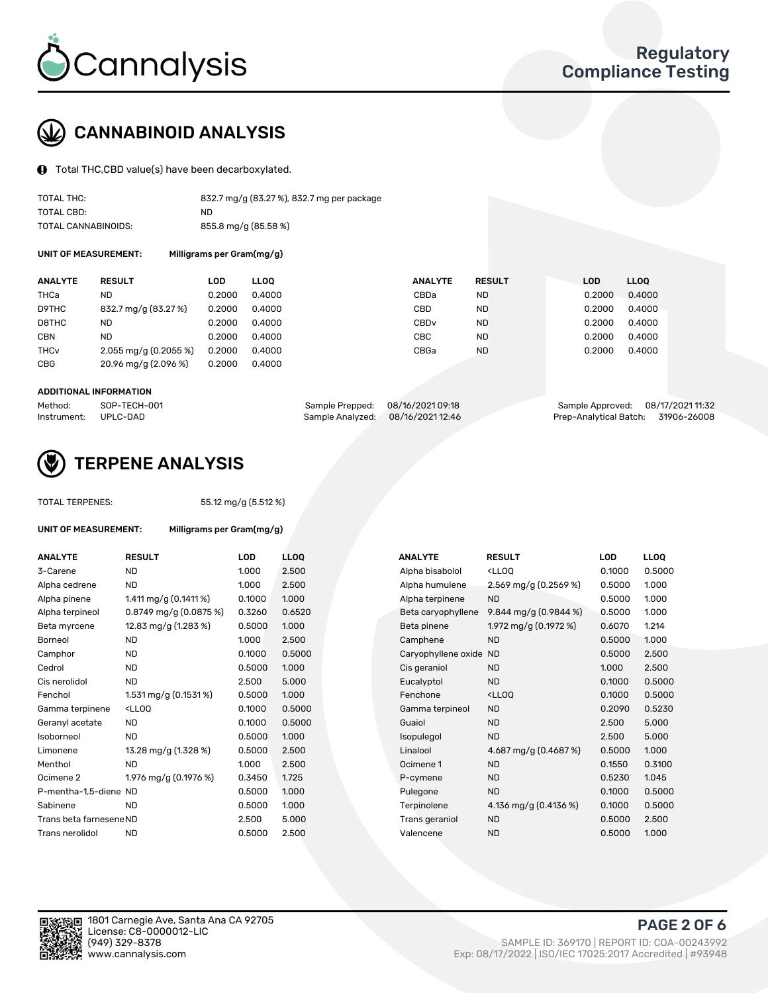

# CANNABINOID ANALYSIS

Total THC,CBD value(s) have been decarboxylated.

| TOTAL THC:          | 832.7 mg/g (83.27 %), 832.7 mg per package |
|---------------------|--------------------------------------------|
| TOTAL CBD:          | ND.                                        |
| TOTAL CANNABINOIDS: | 855.8 mg/g (85.58 %)                       |

UNIT OF MEASUREMENT: Milligrams per Gram(mg/g)

| <b>RESULT</b>                      |                                                                 |                                                                         |                |               | <b>LOD</b> | LL <sub>00</sub> |
|------------------------------------|-----------------------------------------------------------------|-------------------------------------------------------------------------|----------------|---------------|------------|------------------|
|                                    |                                                                 | CBDa                                                                    | <b>ND</b>      |               | 0.2000     | 0.4000           |
| 832.7 mg/g (83.27 %)               |                                                                 | <b>CBD</b>                                                              | <b>ND</b>      |               | 0.2000     | 0.4000           |
|                                    |                                                                 | CBD <sub>v</sub>                                                        | <b>ND</b>      |               | 0.2000     | 0.4000           |
|                                    |                                                                 | CBC                                                                     | <b>ND</b>      |               | 0.2000     | 0.4000           |
| $2.055 \,\mathrm{mq/q}$ (0.2055 %) |                                                                 | CBGa                                                                    | <b>ND</b>      |               | 0.2000     | 0.4000           |
| 20.96 mg/g (2.096 %)               |                                                                 |                                                                         |                |               |            |                  |
|                                    | LOD<br>0.2000<br>0.2000<br>0.2000<br>0.2000<br>0.2000<br>0.2000 | <b>LLOO</b><br>0.4000<br>0.4000<br>0.4000<br>0.4000<br>0.4000<br>0.4000 | <b>ANALYTE</b> | <b>RESULT</b> |            |                  |

#### ADDITIONAL INFORMATION

| Method:              | SOP-TECH-001 | Sample Prepped: 08/16/2021 09:18  | Sample Approved: 08/17/2021 11:32  |  |
|----------------------|--------------|-----------------------------------|------------------------------------|--|
| Instrument: UPLC-DAD |              | Sample Analyzed: 08/16/2021 12:46 | Prep-Analytical Batch: 31906-26008 |  |



## TERPENE ANALYSIS

TOTAL TERPENES: 55.12 mg/g (5.512 %)

| UNIT OF MEASUREMENT:    | Milligrams per Gram(mg/g) |        |       |
|-------------------------|---------------------------|--------|-------|
| <b>ANALYTE</b>          | <b>RESULT</b>             | LOD    | LLO   |
| 3-Carene                | <b>ND</b>                 | 1.000  | 2.50  |
| Alpha cedrene           | <b>ND</b>                 | 1.000  | 2.50  |
| Alpha pinene            | 1.411 mg/g $(0.1411%)$    | 0.1000 | 1.00  |
| Alpha terpineol         | 0.8749 mg/g (0.0875 %)    | 0.3260 | 0.65  |
| Beta myrcene            | 12.83 mg/g (1.283 %)      | 0.5000 | 1.00  |
| Borneol                 | <b>ND</b>                 | 1.000  | 2.50  |
| Camphor                 | <b>ND</b>                 | 0.1000 | 0.50  |
| Cedrol                  | <b>ND</b>                 | 0.5000 | 1.00  |
| Cis nerolidol           | <b>ND</b>                 | 2.500  | 5.00  |
| Fenchol                 | 1.531 mg/g $(0.1531\%)$   | 0.5000 | 1.00  |
| Gamma terpinene         | $<$ LLOO                  | 0.1000 | 0.50  |
| Geranyl acetate         | <b>ND</b>                 | 0.1000 | 0.50  |
| Isoborneol              | <b>ND</b>                 | 0.5000 | 1.00  |
| Limonene                | 13.28 mg/g (1.328 %)      | 0.5000 | 2.50  |
| Menthol                 | <b>ND</b>                 | 1.000  | 2.50  |
| Ocimene 2               | 1.976 mg/g $(0.1976\%)$   | 0.3450 | 1.72. |
| P-mentha-1,5-diene ND   |                           | 0.5000 | 1.00  |
| Sabinene                | <b>ND</b>                 | 0.5000 | 1.00  |
| Trans beta farnesene ND |                           | 2.500  | 5.00  |
| Trans nerolidol         | ND                        | 0.5000 | 2.50  |

| ANALYTE                 | <b>RESULT</b>                                                                                                               | LOD    | <b>LLOQ</b> | <b>ANALYTE</b>         | <b>RESULT</b>                                       | <b>LOD</b> | <b>LLOQ</b> |
|-------------------------|-----------------------------------------------------------------------------------------------------------------------------|--------|-------------|------------------------|-----------------------------------------------------|------------|-------------|
| 3-Carene                | <b>ND</b>                                                                                                                   | 1.000  | 2.500       | Alpha bisabolol        | <lloq< td=""><td>0.1000</td><td>0.5000</td></lloq<> | 0.1000     | 0.5000      |
| Alpha cedrene           | <b>ND</b>                                                                                                                   | 1.000  | 2.500       | Alpha humulene         | 2.569 mg/g (0.2569 %)                               | 0.5000     | 1.000       |
| Alpha pinene            | 1.411 mg/g $(0.1411%)$                                                                                                      | 0.1000 | 1.000       | Alpha terpinene        | <b>ND</b>                                           | 0.5000     | 1.000       |
| Alpha terpineol         | $0.8749$ mg/g $(0.0875%)$                                                                                                   | 0.3260 | 0.6520      | Beta caryophyllene     | 9.844 mg/g $(0.9844\%)$                             | 0.5000     | 1.000       |
| Beta myrcene            | 12.83 mg/g (1.283 %)                                                                                                        | 0.5000 | 1.000       | Beta pinene            | 1.972 mg/g $(0.1972%)$                              | 0.6070     | 1.214       |
| Borneol                 | <b>ND</b>                                                                                                                   | 1.000  | 2.500       | Camphene               | <b>ND</b>                                           | 0.5000     | 1.000       |
| Camphor                 | <b>ND</b>                                                                                                                   | 0.1000 | 0.5000      | Caryophyllene oxide ND |                                                     | 0.5000     | 2.500       |
| Cedrol                  | <b>ND</b>                                                                                                                   | 0.5000 | 1.000       | Cis geraniol           | <b>ND</b>                                           | 1.000      | 2.500       |
| Cis nerolidol           | <b>ND</b>                                                                                                                   | 2.500  | 5.000       | Eucalyptol             | <b>ND</b>                                           | 0.1000     | 0.5000      |
| Fenchol                 | 1.531 mg/g $(0.1531\%)$                                                                                                     | 0.5000 | 1.000       | Fenchone               | <lloq< td=""><td>0.1000</td><td>0.5000</td></lloq<> | 0.1000     | 0.5000      |
| Gamma terpinene         | <lloq< td=""><td>0.1000</td><td>0.5000</td><td>Gamma terpineol</td><td><b>ND</b></td><td>0.2090</td><td>0.5230</td></lloq<> | 0.1000 | 0.5000      | Gamma terpineol        | <b>ND</b>                                           | 0.2090     | 0.5230      |
| Geranyl acetate         | <b>ND</b>                                                                                                                   | 0.1000 | 0.5000      | Guaiol                 | <b>ND</b>                                           | 2.500      | 5.000       |
| Isoborneol              | <b>ND</b>                                                                                                                   | 0.5000 | 1.000       | Isopulegol             | <b>ND</b>                                           | 2.500      | 5.000       |
| Limonene                | 13.28 mg/g (1.328 %)                                                                                                        | 0.5000 | 2.500       | Linalool               | 4.687 mg/g $(0.4687%)$                              | 0.5000     | 1.000       |
| Menthol                 | <b>ND</b>                                                                                                                   | 1.000  | 2.500       | Ocimene 1              | <b>ND</b>                                           | 0.1550     | 0.3100      |
| Ocimene 2               | 1.976 mg/g (0.1976 %)                                                                                                       | 0.3450 | 1.725       | P-cymene               | <b>ND</b>                                           | 0.5230     | 1.045       |
| P-mentha-1,5-diene ND   |                                                                                                                             | 0.5000 | 1.000       | Pulegone               | <b>ND</b>                                           | 0.1000     | 0.5000      |
| Sabinene                | <b>ND</b>                                                                                                                   | 0.5000 | 1.000       | Terpinolene            | 4.136 mg/g (0.4136 %)                               | 0.1000     | 0.5000      |
| Trans beta farnesene ND |                                                                                                                             | 2.500  | 5.000       | Trans geraniol         | <b>ND</b>                                           | 0.5000     | 2.500       |
| Trans nerolidol         | <b>ND</b>                                                                                                                   | 0.5000 | 2.500       | Valencene              | <b>ND</b>                                           | 0.5000     | 1.000       |
|                         |                                                                                                                             |        |             |                        |                                                     |            |             |

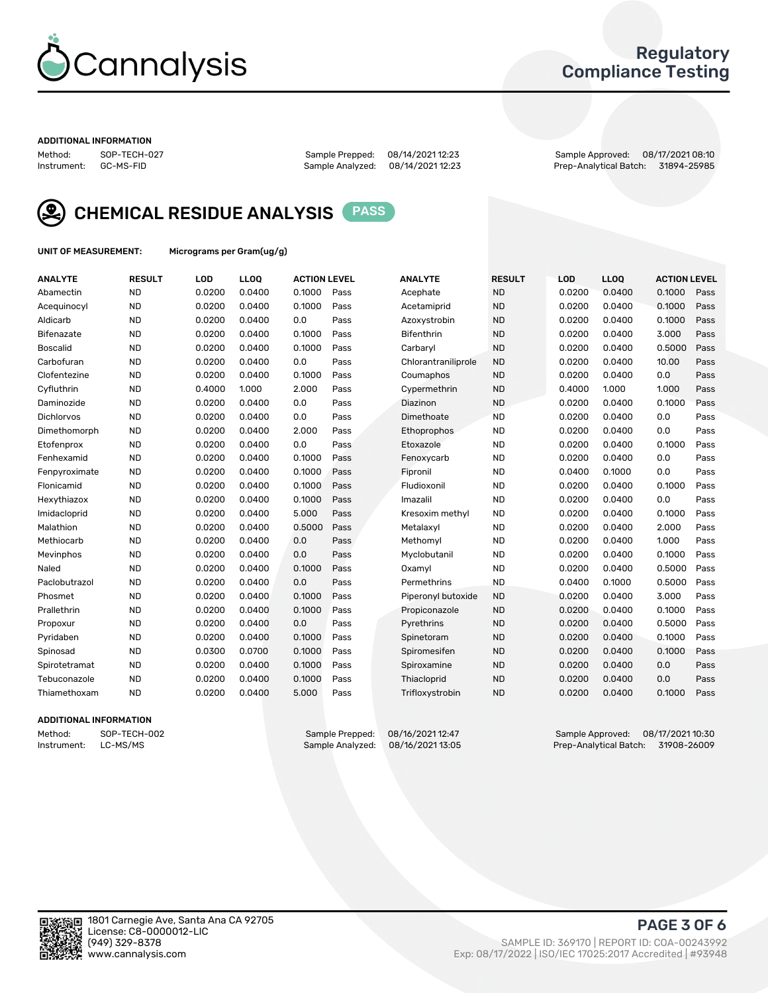

## Regulatory Compliance Testing

#### ADDITIONAL INFORMATION

Method: SOP-TECH-027 Sample Prepped: 08/14/2021 12:23 Sample Approved: 08/17/2021 08:10 Prep-Analytical Batch: 31894-25985



CHEMICAL RESIDUE ANALYSIS PASS

UNIT OF MEASUREMENT: Micrograms per Gram(ug/g)

| <b>ANALYTE</b>    | <b>RESULT</b> | LOD    | LL <sub>OO</sub> | <b>ACTION LEVEL</b> |      | <b>ANALYTE</b>      | <b>RESULT</b> | <b>LOD</b> | <b>LLOQ</b> | <b>ACTION LEVEL</b> |      |
|-------------------|---------------|--------|------------------|---------------------|------|---------------------|---------------|------------|-------------|---------------------|------|
| Abamectin         | <b>ND</b>     | 0.0200 | 0.0400           | 0.1000              | Pass | Acephate            | <b>ND</b>     | 0.0200     | 0.0400      | 0.1000              | Pass |
| Acequinocyl       | <b>ND</b>     | 0.0200 | 0.0400           | 0.1000              | Pass | Acetamiprid         | <b>ND</b>     | 0.0200     | 0.0400      | 0.1000              | Pass |
| Aldicarb          | <b>ND</b>     | 0.0200 | 0.0400           | 0.0                 | Pass | Azoxystrobin        | <b>ND</b>     | 0.0200     | 0.0400      | 0.1000              | Pass |
| Bifenazate        | <b>ND</b>     | 0.0200 | 0.0400           | 0.1000              | Pass | <b>Bifenthrin</b>   | <b>ND</b>     | 0.0200     | 0.0400      | 3.000               | Pass |
| <b>Boscalid</b>   | <b>ND</b>     | 0.0200 | 0.0400           | 0.1000              | Pass | Carbaryl            | <b>ND</b>     | 0.0200     | 0.0400      | 0.5000              | Pass |
| Carbofuran        | <b>ND</b>     | 0.0200 | 0.0400           | 0.0                 | Pass | Chlorantraniliprole | <b>ND</b>     | 0.0200     | 0.0400      | 10.00               | Pass |
| Clofentezine      | <b>ND</b>     | 0.0200 | 0.0400           | 0.1000              | Pass | Coumaphos           | <b>ND</b>     | 0.0200     | 0.0400      | 0.0                 | Pass |
| Cyfluthrin        | <b>ND</b>     | 0.4000 | 1.000            | 2.000               | Pass | Cypermethrin        | <b>ND</b>     | 0.4000     | 1.000       | 1.000               | Pass |
| Daminozide        | <b>ND</b>     | 0.0200 | 0.0400           | 0.0                 | Pass | Diazinon            | <b>ND</b>     | 0.0200     | 0.0400      | 0.1000              | Pass |
| <b>Dichlorvos</b> | <b>ND</b>     | 0.0200 | 0.0400           | 0.0                 | Pass | Dimethoate          | <b>ND</b>     | 0.0200     | 0.0400      | 0.0                 | Pass |
| Dimethomorph      | <b>ND</b>     | 0.0200 | 0.0400           | 2.000               | Pass | <b>Ethoprophos</b>  | <b>ND</b>     | 0.0200     | 0.0400      | 0.0                 | Pass |
| Etofenprox        | <b>ND</b>     | 0.0200 | 0.0400           | 0.0                 | Pass | Etoxazole           | <b>ND</b>     | 0.0200     | 0.0400      | 0.1000              | Pass |
| Fenhexamid        | <b>ND</b>     | 0.0200 | 0.0400           | 0.1000              | Pass | Fenoxycarb          | <b>ND</b>     | 0.0200     | 0.0400      | 0.0                 | Pass |
| Fenpyroximate     | <b>ND</b>     | 0.0200 | 0.0400           | 0.1000              | Pass | Fipronil            | <b>ND</b>     | 0.0400     | 0.1000      | 0.0                 | Pass |
| Flonicamid        | <b>ND</b>     | 0.0200 | 0.0400           | 0.1000              | Pass | Fludioxonil         | <b>ND</b>     | 0.0200     | 0.0400      | 0.1000              | Pass |
| Hexythiazox       | <b>ND</b>     | 0.0200 | 0.0400           | 0.1000              | Pass | Imazalil            | <b>ND</b>     | 0.0200     | 0.0400      | 0.0                 | Pass |
| Imidacloprid      | <b>ND</b>     | 0.0200 | 0.0400           | 5.000               | Pass | Kresoxim methyl     | <b>ND</b>     | 0.0200     | 0.0400      | 0.1000              | Pass |
| Malathion         | <b>ND</b>     | 0.0200 | 0.0400           | 0.5000              | Pass | Metalaxyl           | <b>ND</b>     | 0.0200     | 0.0400      | 2.000               | Pass |
| Methiocarb        | <b>ND</b>     | 0.0200 | 0.0400           | 0.0                 | Pass | Methomyl            | <b>ND</b>     | 0.0200     | 0.0400      | 1.000               | Pass |
| Mevinphos         | <b>ND</b>     | 0.0200 | 0.0400           | 0.0                 | Pass | Myclobutanil        | <b>ND</b>     | 0.0200     | 0.0400      | 0.1000              | Pass |
| Naled             | <b>ND</b>     | 0.0200 | 0.0400           | 0.1000              | Pass | Oxamyl              | <b>ND</b>     | 0.0200     | 0.0400      | 0.5000              | Pass |
| Paclobutrazol     | <b>ND</b>     | 0.0200 | 0.0400           | 0.0                 | Pass | Permethrins         | <b>ND</b>     | 0.0400     | 0.1000      | 0.5000              | Pass |
| Phosmet           | <b>ND</b>     | 0.0200 | 0.0400           | 0.1000              | Pass | Piperonyl butoxide  | <b>ND</b>     | 0.0200     | 0.0400      | 3.000               | Pass |
| Prallethrin       | <b>ND</b>     | 0.0200 | 0.0400           | 0.1000              | Pass | Propiconazole       | <b>ND</b>     | 0.0200     | 0.0400      | 0.1000              | Pass |
| Propoxur          | <b>ND</b>     | 0.0200 | 0.0400           | 0.0                 | Pass | Pyrethrins          | <b>ND</b>     | 0.0200     | 0.0400      | 0.5000              | Pass |
| Pyridaben         | <b>ND</b>     | 0.0200 | 0.0400           | 0.1000              | Pass | Spinetoram          | <b>ND</b>     | 0.0200     | 0.0400      | 0.1000              | Pass |
| Spinosad          | <b>ND</b>     | 0.0300 | 0.0700           | 0.1000              | Pass | Spiromesifen        | <b>ND</b>     | 0.0200     | 0.0400      | 0.1000              | Pass |
| Spirotetramat     | <b>ND</b>     | 0.0200 | 0.0400           | 0.1000              | Pass | Spiroxamine         | <b>ND</b>     | 0.0200     | 0.0400      | 0.0                 | Pass |
| Tebuconazole      | <b>ND</b>     | 0.0200 | 0.0400           | 0.1000              | Pass | Thiacloprid         | <b>ND</b>     | 0.0200     | 0.0400      | 0.0                 | Pass |
| Thiamethoxam      | <b>ND</b>     | 0.0200 | 0.0400           | 5.000               | Pass | Trifloxystrobin     | <b>ND</b>     | 0.0200     | 0.0400      | 0.1000              | Pass |

#### ADDITIONAL INFORMATION

Method: SOP-TECH-002 Sample Prepped: 08/16/2021 12:47 Sample Approved: 08/17/2021 10:30<br>Instrument: LC-MS/MS Sample Analyzed: 08/16/2021 13:05 Prep-Analytical Batch: 31908-26009 Prep-Analytical Batch: 31908-26009

PAGE 3 OF 6

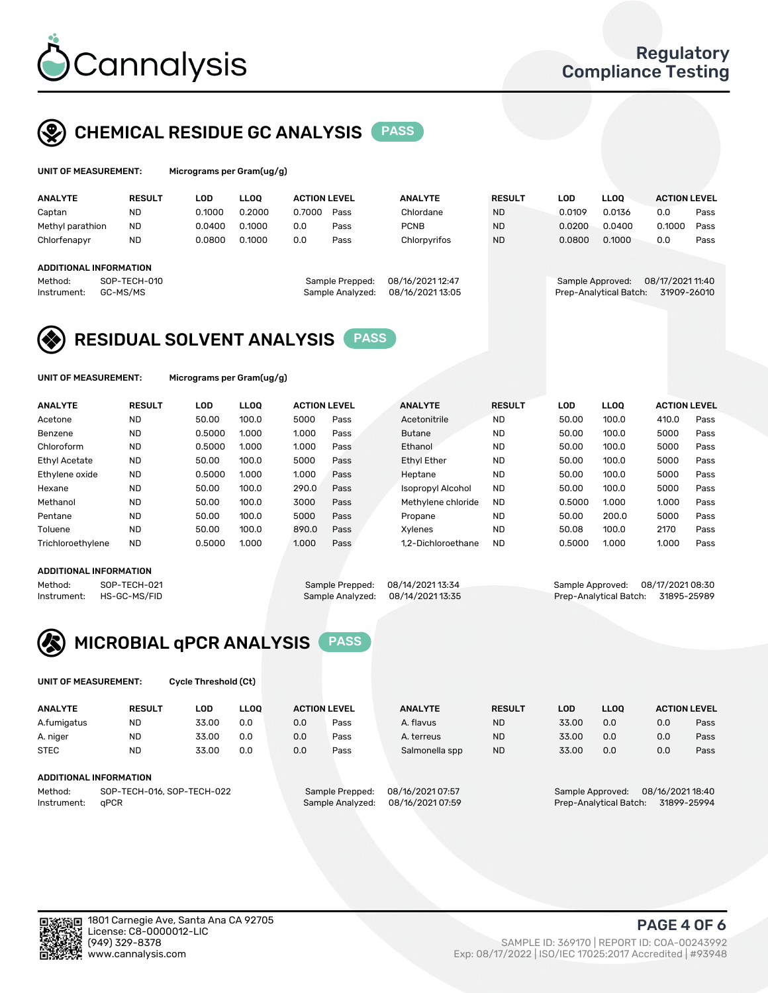

## CHEMICAL RESIDUE GC ANALYSIS PASS

| UNIT OF MEASUREMENT: | Micro |
|----------------------|-------|
|----------------------|-------|

ograms per Gram(ug/g)

| <b>ANALYTE</b>         | <b>RESULT</b> | LOD    | <b>LLOO</b> | <b>ACTION LEVEL</b> |                  | <b>ANALYTE</b>   | <b>RESULT</b> | LOD              | <b>LLOO</b>            | <b>ACTION LEVEL</b> |      |
|------------------------|---------------|--------|-------------|---------------------|------------------|------------------|---------------|------------------|------------------------|---------------------|------|
| Captan                 | <b>ND</b>     | 0.1000 | 0.2000      | 0.7000              | Pass             | Chlordane        | <b>ND</b>     | 0.0109           | 0.0136                 | 0.0                 | Pass |
| Methyl parathion       | <b>ND</b>     | 0.0400 | 0.1000      | 0.0                 | Pass             | <b>PCNB</b>      | <b>ND</b>     | 0.0200           | 0.0400                 | 0.1000              | Pass |
| Chlorfenapyr           | <b>ND</b>     | 0.0800 | 0.1000      | 0.0                 | Pass             | Chlorpyrifos     | <b>ND</b>     | 0.0800           | 0.1000                 | 0.0                 | Pass |
|                        |               |        |             |                     |                  |                  |               |                  |                        |                     |      |
| ADDITIONAL INFORMATION |               |        |             |                     |                  |                  |               |                  |                        |                     |      |
| Method:                | SOP-TECH-010  |        |             |                     | Sample Prepped:  | 08/16/2021 12:47 |               | Sample Approved: |                        | 08/17/2021 11:40    |      |
| Instrument:            | GC-MS/MS      |        |             |                     | Sample Analyzed: | 08/16/2021 13:05 |               |                  | Prep-Analytical Batch: | 31909-26010         |      |
|                        |               |        |             |                     |                  |                  |               |                  |                        |                     |      |

## RESIDUAL SOLVENT ANALYSIS PASS

UNIT OF MEASUREMENT: Micrograms per Gram(ug/g)

| <b>ANALYTE</b>    | <b>RESULT</b> | LOD    | <b>LLOO</b> | <b>ACTION LEVEL</b> |      | <b>ANALYTE</b>           | <b>RESULT</b> | LOD    | LLOO  | <b>ACTION LEVEL</b> |      |
|-------------------|---------------|--------|-------------|---------------------|------|--------------------------|---------------|--------|-------|---------------------|------|
| Acetone           | <b>ND</b>     | 50.00  | 100.0       | 5000                | Pass | Acetonitrile             | <b>ND</b>     | 50.00  | 100.0 | 410.0               | Pass |
| Benzene           | <b>ND</b>     | 0.5000 | 1.000       | 1.000               | Pass | <b>Butane</b>            | <b>ND</b>     | 50.00  | 100.0 | 5000                | Pass |
| Chloroform        | <b>ND</b>     | 0.5000 | 1.000       | 1.000               | Pass | Ethanol                  | <b>ND</b>     | 50.00  | 100.0 | 5000                | Pass |
| Ethyl Acetate     | <b>ND</b>     | 50.00  | 100.0       | 5000                | Pass | <b>Ethyl Ether</b>       | <b>ND</b>     | 50.00  | 100.0 | 5000                | Pass |
| Ethylene oxide    | <b>ND</b>     | 0.5000 | 1.000       | 1.000               | Pass | Heptane                  | <b>ND</b>     | 50.00  | 100.0 | 5000                | Pass |
| Hexane            | <b>ND</b>     | 50.00  | 100.0       | 290.0               | Pass | <b>Isopropyl Alcohol</b> | <b>ND</b>     | 50.00  | 100.0 | 5000                | Pass |
| Methanol          | <b>ND</b>     | 50.00  | 100.0       | 3000                | Pass | Methylene chloride       | <b>ND</b>     | 0.5000 | 1.000 | 1.000               | Pass |
| Pentane           | <b>ND</b>     | 50.00  | 100.0       | 5000                | Pass | Propane                  | <b>ND</b>     | 50.00  | 200.0 | 5000                | Pass |
| Toluene           | <b>ND</b>     | 50.00  | 100.0       | 890.0               | Pass | Xvlenes                  | <b>ND</b>     | 50.08  | 100.0 | 2170                | Pass |
| Trichloroethylene | <b>ND</b>     | 0.5000 | 1.000       | 1.000               | Pass | 1.2-Dichloroethane       | <b>ND</b>     | 0.5000 | 1.000 | 1.000               | Pass |

### ADDITIONAL INFORMATION

Method: SOP-TECH-021 Sample Prepped: 08/14/2021 13:34 Sample Approved: 08/17/2021 08:30<br>Instrument: HS-GC-MS/FID Sample Analyzed: 08/14/2021 13:35 Prep-Analytical Batch: 31895-25989 Prep-Analytical Batch: 31895-25989



UNIT OF MEASUREMENT: Cycle Threshold (Ct)

| <b>ANALYTE</b> | <b>RESULT</b>              | LOD   | <b>LLOO</b> |     | <b>ACTION LEVEL</b> | <b>ANALYTE</b>   | <b>RESULT</b> | LOD   | <b>LLOO</b>      |                  | <b>ACTION LEVEL</b> |
|----------------|----------------------------|-------|-------------|-----|---------------------|------------------|---------------|-------|------------------|------------------|---------------------|
| A.fumigatus    | <b>ND</b>                  | 33.00 | 0.0         | 0.0 | Pass                | A. flavus        | <b>ND</b>     | 33.00 | 0.0              | 0.0              | Pass                |
| A. niger       | <b>ND</b>                  | 33.00 | 0.0         | 0.0 | Pass                | A. terreus       | <b>ND</b>     | 33.00 | 0.0              | 0.0              | Pass                |
| <b>STEC</b>    | <b>ND</b>                  | 33.00 | 0.0         | 0.0 | Pass                | Salmonella spp   | <b>ND</b>     | 33.00 | 0.0              | 0.0              | Pass                |
|                | ADDITIONAL INFORMATION     |       |             |     |                     |                  |               |       |                  |                  |                     |
| Method:        | SOP-TECH-016, SOP-TECH-022 |       |             |     | Sample Prepped:     | 08/16/2021 07:57 |               |       | Sample Approved: | 08/16/2021 18:40 |                     |

Instrument: qPCR Sample Analyzed: 08/16/2021 07:59 Prep-Analytical Batch: 31899-25994

PAGE 4 OF 6

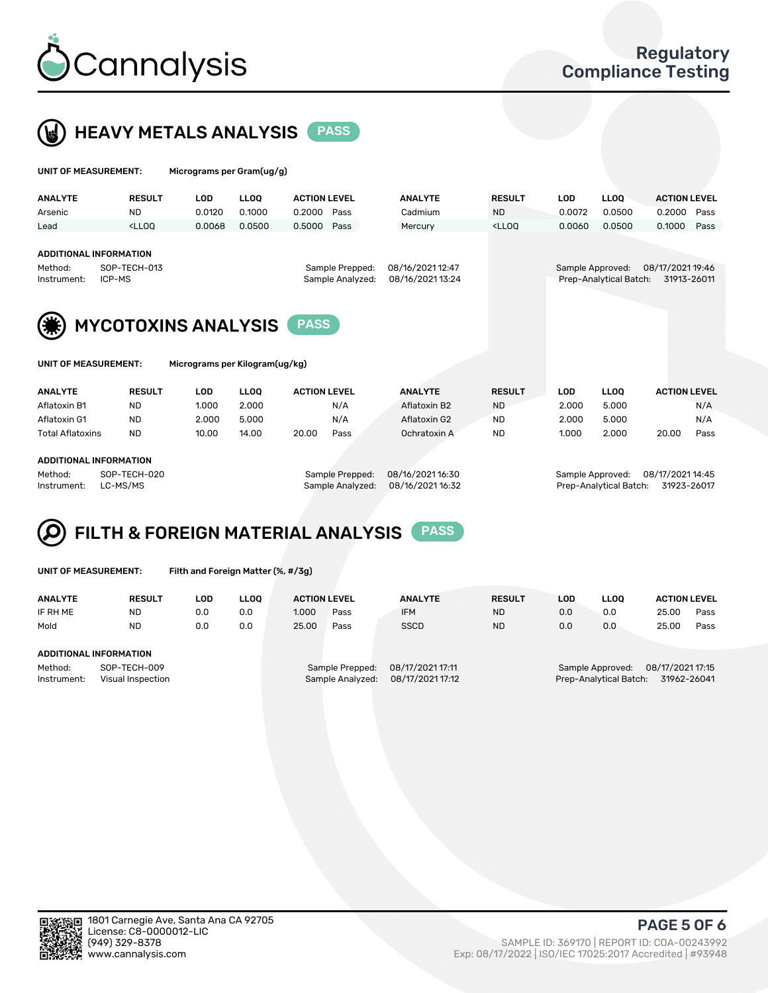



| UNIT OF MEASUREMENT:          |               | Micrograms per Gram(ug/g)                                    |             |                     |                  |                  |                                                                                 |                  |                        |                     |      |
|-------------------------------|---------------|--------------------------------------------------------------|-------------|---------------------|------------------|------------------|---------------------------------------------------------------------------------|------------------|------------------------|---------------------|------|
| <b>ANALYTE</b>                | <b>RESULT</b> | <b>LOD</b>                                                   | <b>LLOO</b> | <b>ACTION LEVEL</b> |                  | <b>ANALYTE</b>   | <b>RESULT</b>                                                                   | <b>LOD</b>       | <b>LLOQ</b>            | <b>ACTION LEVEL</b> |      |
| Arsenic                       | <b>ND</b>     | 0.0120                                                       | 0.1000      | 0.2000              | Pass             | Cadmium          | <b>ND</b>                                                                       | 0.0072           | 0.0500                 | 0.2000              | Pass |
| Lead                          | $<$ LLOO      | 0.0068                                                       | 0.0500      | 0.5000              | Pass             | Mercury          | <lloq< td=""><td>0.0060</td><td>0.0500</td><td>0.1000</td><td>Pass</td></lloq<> | 0.0060           | 0.0500                 | 0.1000              | Pass |
|                               |               |                                                              |             |                     |                  |                  |                                                                                 |                  |                        |                     |      |
| <b>ADDITIONAL INFORMATION</b> |               |                                                              |             |                     |                  |                  |                                                                                 |                  |                        |                     |      |
| Method:                       | SOP-TECH-013  |                                                              |             |                     | Sample Prepped:  | 08/16/2021 12:47 |                                                                                 | Sample Approved: |                        | 08/17/2021 19:46    |      |
| ICP-MS<br>Instrument:         |               |                                                              |             |                     | Sample Analyzed: | 08/16/2021 13:24 |                                                                                 |                  | Prep-Analytical Batch: | 31913-26011         |      |
| UNIT OF MEASUREMENT:          |               | <b>MYCOTOXINS ANALYSIS</b><br>Micrograms per Kilogram(ug/kg) |             | <b>PASS</b>         |                  |                  |                                                                                 |                  |                        |                     |      |
|                               |               |                                                              |             |                     |                  |                  |                                                                                 |                  |                        |                     |      |
| <b>ANALYTE</b>                | <b>RESULT</b> | <b>LOD</b>                                                   | <b>LLOO</b> | <b>ACTION LEVEL</b> |                  | <b>ANALYTE</b>   | <b>RESULT</b>                                                                   | LOD              | <b>LLOQ</b>            | <b>ACTION LEVEL</b> |      |
| Aflatoxin B1                  | <b>ND</b>     | 1.000                                                        | 2.000       |                     | N/A              | Aflatoxin B2     | <b>ND</b>                                                                       | 2.000            | 5.000                  |                     | N/A  |
| Aflatoxin G1                  | <b>ND</b>     | 2.000                                                        | 5.000       |                     | N/A              | Aflatoxin G2     | <b>ND</b>                                                                       | 2.000            | 5.000                  |                     | N/A  |
| <b>Total Aflatoxins</b>       | <b>ND</b>     | 10.00                                                        | 14.00       | 20.00               | Pass             | Ochratoxin A     | <b>ND</b>                                                                       | 1.000            | 2.000                  | 20.00               | Pass |
| <b>ADDITIONAL INFORMATION</b> |               |                                                              |             |                     |                  |                  |                                                                                 |                  |                        |                     |      |

Method: SOP-TECH-020 Sample Prepped: 08/16/2021 16:30 Sample Approved: 08/17/2021 14:45 Instrument: LC-MS/MS Sample Analyzed: 08/16/2021 16:32 Prep-Analytical Batch: 31923-26017

# FILTH & FOREIGN MATERIAL ANALYSIS PASS

UNIT OF MEASUREMENT: Filth and Foreign Matter (%, #/3g)

| <b>ANALYTE</b>         | <b>RESULT</b>                     | LOD | <b>LLOO</b> | <b>ACTION LEVEL</b> |                                     | <b>ANALYTE</b>                       | <b>RESULT</b> | LOD | <b>LLOO</b>                                | <b>ACTION LEVEL</b>             |      |
|------------------------|-----------------------------------|-----|-------------|---------------------|-------------------------------------|--------------------------------------|---------------|-----|--------------------------------------------|---------------------------------|------|
| IF RH ME               | ND                                | 0.0 | 0.0         | 1.000               | Pass                                | <b>IFM</b>                           | <b>ND</b>     | 0.0 | 0.0                                        | 25.00                           | Pass |
| Mold                   | <b>ND</b>                         | 0.0 | 0.0         | 25.00               | Pass                                | <b>SSCD</b>                          | <b>ND</b>     | 0.0 | 0.0                                        | 25.00                           | Pass |
| ADDITIONAL INFORMATION |                                   |     |             |                     |                                     |                                      |               |     |                                            |                                 |      |
| Method:<br>Instrument: | SOP-TECH-009<br>Visual Inspection |     |             |                     | Sample Prepped:<br>Sample Analyzed: | 08/17/2021 17:11<br>08/17/2021 17:12 |               |     | Sample Approved:<br>Prep-Analytical Batch: | 08/17/2021 17:15<br>31962-26041 |      |



PAGE 5 OF 6